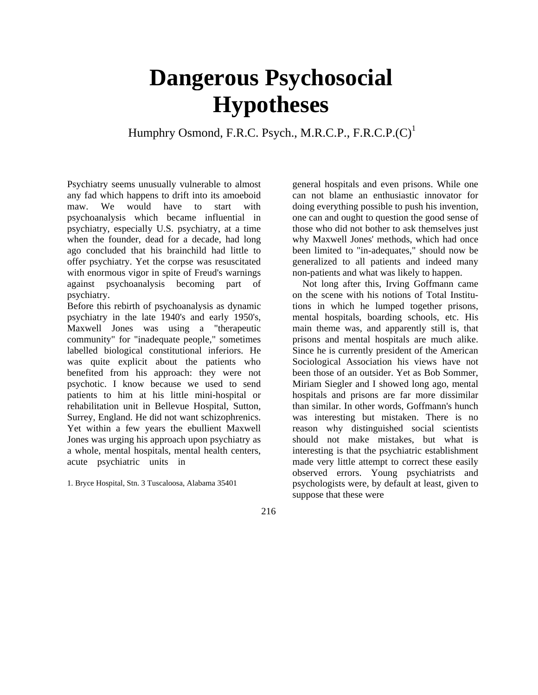## **Dangerous Psychosocial Hypotheses**

Humphry Osmond, F.R.C. Psych., M.R.C.P., F.R.C.P. $(C)^1$ 

Psychiatry seems unusually vulnerable to almost any fad which happens to drift into its amoeboid maw. We would have to start with psychoanalysis which became influential in psychiatry, especially U.S. psychiatry, at a time when the founder, dead for a decade, had long ago concluded that his brainchild had little to offer psychiatry. Yet the corpse was resuscitated with enormous vigor in spite of Freud's warnings against psychoanalysis becoming part of psychiatry.

Before this rebirth of psychoanalysis as dynamic psychiatry in the late 1940's and early 1950's, Maxwell Jones was using a "therapeutic community" for "inadequate people," sometimes labelled biological constitutional inferiors. He was quite explicit about the patients who benefited from his approach: they were not psychotic. I know because we used to send patients to him at his little mini-hospital or rehabilitation unit in Bellevue Hospital, Sutton, Surrey, England. He did not want schizophrenics. Yet within a few years the ebullient Maxwell Jones was urging his approach upon psychiatry as a whole, mental hospitals, mental health centers, acute psychiatric units in

1. Bryce Hospital, Stn. 3 Tuscaloosa, Alabama 35401

general hospitals and even prisons. While one can not blame an enthusiastic innovator for doing everything possible to push his invention, one can and ought to question the good sense of those who did not bother to ask themselves just why Maxwell Jones' methods, which had once been limited to "in-adequates," should now be generalized to all patients and indeed many non-patients and what was likely to happen.

Not long after this, Irving Goffmann came on the scene with his notions of Total Institutions in which he lumped together prisons, mental hospitals, boarding schools, etc. His main theme was, and apparently still is, that prisons and mental hospitals are much alike. Since he is currently president of the American Sociological Association his views have not been those of an outsider. Yet as Bob Sommer, Miriam Siegler and I showed long ago, mental hospitals and prisons are far more dissimilar than similar. In other words, Goffmann's hunch was interesting but mistaken. There is no reason why distinguished social scientists should not make mistakes, but what is interesting is that the psychiatric establishment made very little attempt to correct these easily observed errors. Young psychiatrists and psychologists were, by default at least, given to suppose that these were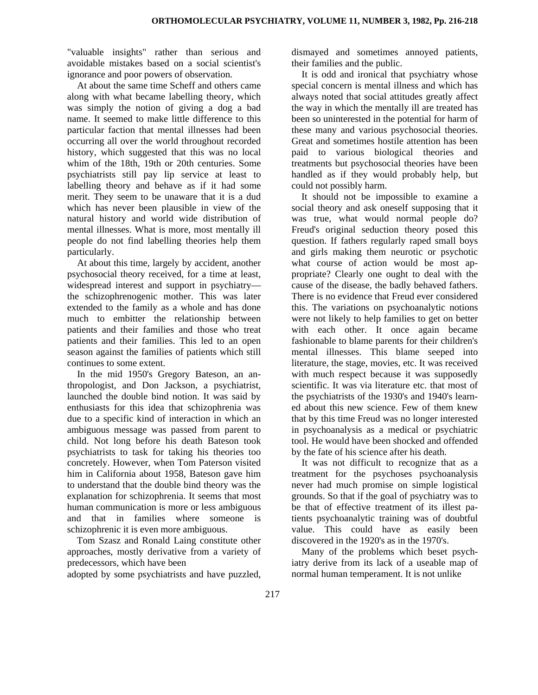"valuable insights" rather than serious and avoidable mistakes based on a social scientist's ignorance and poor powers of observation.

At about the same time Scheff and others came along with what became labelling theory, which was simply the notion of giving a dog a bad name. It seemed to make little difference to this particular faction that mental illnesses had been occurring all over the world throughout recorded history, which suggested that this was no local whim of the 18th, 19th or 20th centuries. Some psychiatrists still pay lip service at least to labelling theory and behave as if it had some merit. They seem to be unaware that it is a dud which has never been plausible in view of the natural history and world wide distribution of mental illnesses. What is more, most mentally ill people do not find labelling theories help them particularly.

At about this time, largely by accident, another psychosocial theory received, for a time at least, widespread interest and support in psychiatry the schizophrenogenic mother. This was later extended to the family as a whole and has done much to embitter the relationship between patients and their families and those who treat patients and their families. This led to an open season against the families of patients which still continues to some extent.

In the mid 1950's Gregory Bateson, an anthropologist, and Don Jackson, a psychiatrist, launched the double bind notion. It was said by enthusiasts for this idea that schizophrenia was due to a specific kind of interaction in which an ambiguous message was passed from parent to child. Not long before his death Bateson took psychiatrists to task for taking his theories too concretely. However, when Tom Paterson visited him in California about 1958, Bateson gave him to understand that the double bind theory was the explanation for schizophrenia. It seems that most human communication is more or less ambiguous and that in families where someone is schizophrenic it is even more ambiguous.

Tom Szasz and Ronald Laing constitute other approaches, mostly derivative from a variety of predecessors, which have been

adopted by some psychiatrists and have puzzled,

dismayed and sometimes annoyed patients, their families and the public.

It is odd and ironical that psychiatry whose special concern is mental illness and which has always noted that social attitudes greatly affect the way in which the mentally ill are treated has been so uninterested in the potential for harm of these many and various psychosocial theories. Great and sometimes hostile attention has been paid to various biological theories and treatments but psychosocial theories have been handled as if they would probably help, but could not possibly harm.

It should not be impossible to examine a social theory and ask oneself supposing that it was true, what would normal people do? Freud's original seduction theory posed this question. If fathers regularly raped small boys and girls making them neurotic or psychotic what course of action would be most appropriate? Clearly one ought to deal with the cause of the disease, the badly behaved fathers. There is no evidence that Freud ever considered this. The variations on psychoanalytic notions were not likely to help families to get on better with each other. It once again became fashionable to blame parents for their children's mental illnesses. This blame seeped into literature, the stage, movies, etc. It was received with much respect because it was supposedly scientific. It was via literature etc. that most of the psychiatrists of the 1930's and 1940's learned about this new science. Few of them knew that by this time Freud was no longer interested in psychoanalysis as a medical or psychiatric tool. He would have been shocked and offended by the fate of his science after his death.

It was not difficult to recognize that as a treatment for the psychoses psychoanalysis never had much promise on simple logistical grounds. So that if the goal of psychiatry was to be that of effective treatment of its illest patients psychoanalytic training was of doubtful value. This could have as easily been discovered in the 1920's as in the 1970's.

Many of the problems which beset psychiatry derive from its lack of a useable map of normal human temperament. It is not unlike